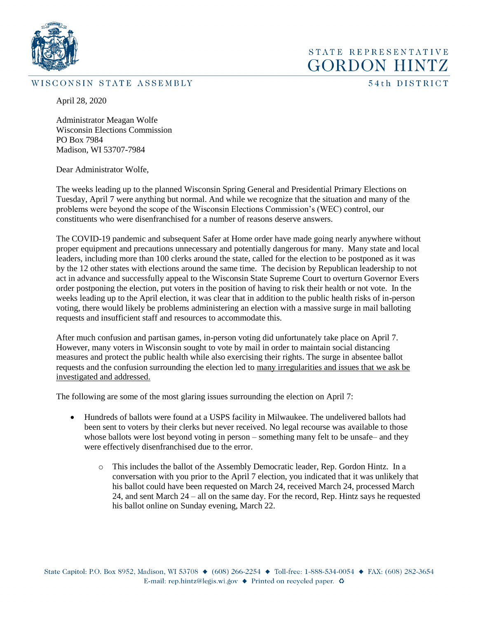

#### WISCONSIN STATE ASSEMBLY

54th DISTRICT

STATE REPRESENTATIVE **GORDON HINTZ** 

April 28, 2020

Administrator Meagan Wolfe Wisconsin Elections Commission PO Box 7984 Madison, WI 53707-7984

Dear Administrator Wolfe,

The weeks leading up to the planned Wisconsin Spring General and Presidential Primary Elections on Tuesday, April 7 were anything but normal. And while we recognize that the situation and many of the problems were beyond the scope of the Wisconsin Elections Commission's (WEC) control, our constituents who were disenfranchised for a number of reasons deserve answers.

The COVID-19 pandemic and subsequent Safer at Home order have made going nearly anywhere without proper equipment and precautions unnecessary and potentially dangerous for many. Many state and local leaders, including more than 100 clerks around the state, called for the election to be postponed as it was by the 12 other states with elections around the same time. The decision by Republican leadership to not act in advance and successfully appeal to the Wisconsin State Supreme Court to overturn Governor Evers order postponing the election, put voters in the position of having to risk their health or not vote. In the weeks leading up to the April election, it was clear that in addition to the public health risks of in-person voting, there would likely be problems administering an election with a massive surge in mail balloting requests and insufficient staff and resources to accommodate this.

After much confusion and partisan games, in-person voting did unfortunately take place on April 7. However, many voters in Wisconsin sought to vote by mail in order to maintain social distancing measures and protect the public health while also exercising their rights. The surge in absentee ballot requests and the confusion surrounding the election led to many irregularities and issues that we ask be investigated and addressed.

The following are some of the most glaring issues surrounding the election on April 7:

- Hundreds of ballots were found at a USPS facility in Milwaukee. The undelivered ballots had been sent to voters by their clerks but never received. No legal recourse was available to those whose ballots were lost beyond voting in person – something many felt to be unsafe– and they were effectively disenfranchised due to the error.
	- o This includes the ballot of the Assembly Democratic leader, Rep. Gordon Hintz. In a conversation with you prior to the April 7 election, you indicated that it was unlikely that his ballot could have been requested on March 24, received March 24, processed March 24, and sent March 24 – all on the same day. For the record, Rep. Hintz says he requested his ballot online on Sunday evening, March 22.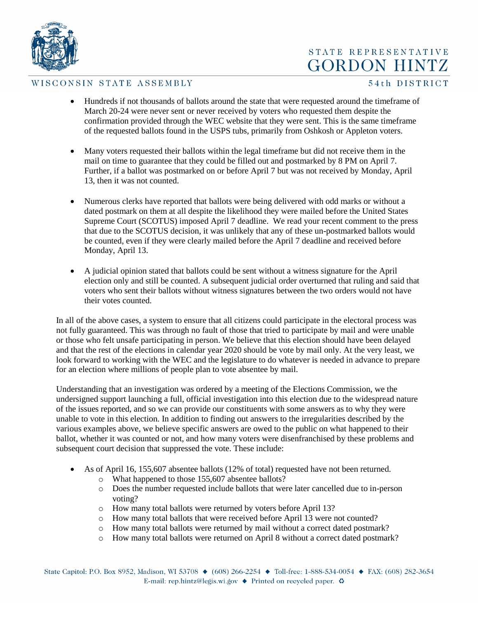

## STATE REPRESENTATIVE **GORDON HINTZ**

#### WISCONSIN STATE ASSEMBLY

#### 54th DISTRICT

- Hundreds if not thousands of ballots around the state that were requested around the timeframe of March 20-24 were never sent or never received by voters who requested them despite the confirmation provided through the WEC website that they were sent. This is the same timeframe of the requested ballots found in the USPS tubs, primarily from Oshkosh or Appleton voters.
- Many voters requested their ballots within the legal timeframe but did not receive them in the mail on time to guarantee that they could be filled out and postmarked by 8 PM on April 7. Further, if a ballot was postmarked on or before April 7 but was not received by Monday, April 13, then it was not counted.
- Numerous clerks have reported that ballots were being delivered with odd marks or without a dated postmark on them at all despite the likelihood they were mailed before the United States Supreme Court (SCOTUS) imposed April 7 deadline. We read your recent comment to the press that due to the SCOTUS decision, it was unlikely that any of these un-postmarked ballots would be counted, even if they were clearly mailed before the April 7 deadline and received before Monday, April 13.
- A judicial opinion stated that ballots could be sent without a witness signature for the April election only and still be counted. A subsequent judicial order overturned that ruling and said that voters who sent their ballots without witness signatures between the two orders would not have their votes counted.

In all of the above cases, a system to ensure that all citizens could participate in the electoral process was not fully guaranteed. This was through no fault of those that tried to participate by mail and were unable or those who felt unsafe participating in person. We believe that this election should have been delayed and that the rest of the elections in calendar year 2020 should be vote by mail only. At the very least, we look forward to working with the WEC and the legislature to do whatever is needed in advance to prepare for an election where millions of people plan to vote absentee by mail.

Understanding that an investigation was ordered by a meeting of the Elections Commission, we the undersigned support launching a full, official investigation into this election due to the widespread nature of the issues reported, and so we can provide our constituents with some answers as to why they were unable to vote in this election. In addition to finding out answers to the irregularities described by the various examples above, we believe specific answers are owed to the public on what happened to their ballot, whether it was counted or not, and how many voters were disenfranchised by these problems and subsequent court decision that suppressed the vote. These include:

- As of April 16, 155,607 absentee ballots (12% of total) requested have not been returned.
	- o What happened to those 155,607 absentee ballots?
	- o Does the number requested include ballots that were later cancelled due to in-person voting?
	- o How many total ballots were returned by voters before April 13?
	- o How many total ballots that were received before April 13 were not counted?
	- o How many total ballots were returned by mail without a correct dated postmark?
	- o How many total ballots were returned on April 8 without a correct dated postmark?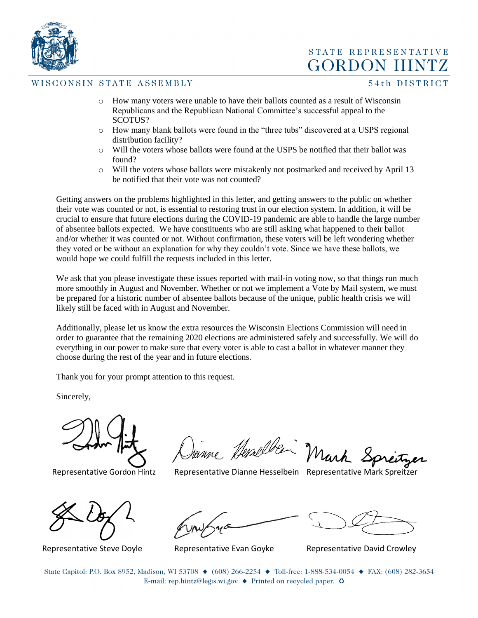

STATE REPRESENTATIVE **GORDON HINTZ** 

#### WISCONSIN STATE ASSEMBLY

54th DISTRICT

- o How many voters were unable to have their ballots counted as a result of Wisconsin Republicans and the Republican National Committee's successful appeal to the SCOTUS?
- o How many blank ballots were found in the "three tubs" discovered at a USPS regional distribution facility?
- o Will the voters whose ballots were found at the USPS be notified that their ballot was found?
- o Will the voters whose ballots were mistakenly not postmarked and received by April 13 be notified that their vote was not counted?

Getting answers on the problems highlighted in this letter, and getting answers to the public on whether their vote was counted or not, is essential to restoring trust in our election system. In addition, it will be crucial to ensure that future elections during the COVID-19 pandemic are able to handle the large number of absentee ballots expected. We have constituents who are still asking what happened to their ballot and/or whether it was counted or not. Without confirmation, these voters will be left wondering whether they voted or be without an explanation for why they couldn't vote. Since we have these ballots, we would hope we could fulfill the requests included in this letter.

We ask that you please investigate these issues reported with mail-in voting now, so that things run much more smoothly in August and November. Whether or not we implement a Vote by Mail system, we must be prepared for a historic number of absentee ballots because of the unique, public health crisis we will likely still be faced with in August and November.

Additionally, please let us know the extra resources the Wisconsin Elections Commission will need in order to guarantee that the remaining 2020 elections are administered safely and successfully. We will do everything in our power to make sure that every voter is able to cast a ballot in whatever manner they choose during the rest of the year and in future elections.

Thank you for your prompt attention to this request.

Sincerely,

Vanne Hemelben Mark Springer

Representative Gordon Hintz Representative Dianne Hesselbein Representative Mark Spreitzer

Representative Steve Doyle Representative Evan Goyke Representative David Crowley

State Capitol: P.O. Box 8952, Madison, WI 53708 ♦ (608) 266-2254 ♦ Toll-free: 1-888-534-0054 ♦ FAX: (608) 282-3654 E-mail: rep.hintz@legis.wi.gov  $\triangle$  Printed on recycled paper.  $\odot$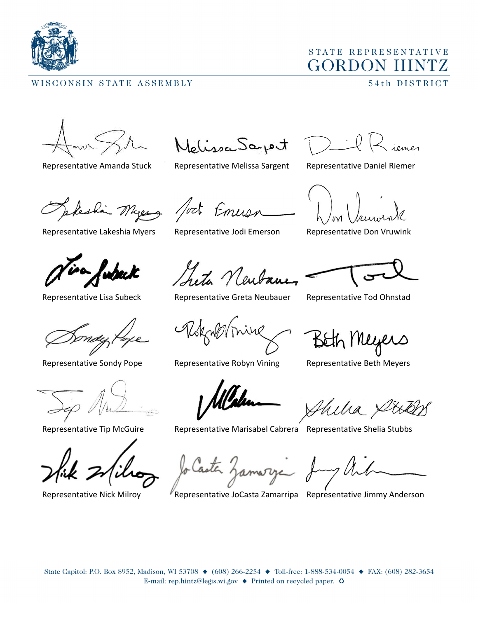

## WISCONSIN STATE ASSEMBLY

# STATE REPRESENTATIVE **GORDON HINTZ**

54th DISTRICT

telissa Saport

Representative Amanda Stuck Representative Melissa Sargent Representative Daniel Riemer

Representative Lakeshia Myers Representative Jodi Emerson Representative Don Vruwink

wheek

Myers fort Emusic

heta Neuban

Representative Lisa Subeck Representative Greta Neubauer Representative Tod Ohnstad

Representative Sondy Pope Representative Robyn Vining Representative Beth Meyers

Beth Meyers

Representative Tip McGuire Representative Marisabel Cabrera Representative Shelia Stubbs

lo Casta Zamarya

Representative Nick Milroy **Representative JoCasta Zamarripa** Representative Jimmy Anderson